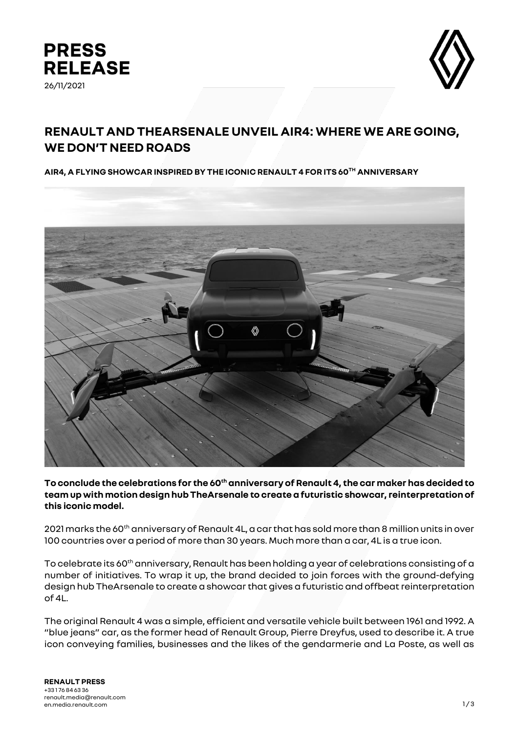



# **RENAULT AND THEARSENALE UNVEIL AIR4: WHERE WE ARE GOING, WE DON'T NEED ROADS**

**AIR4, A FLYING SHOWCAR INSPIRED BY THE ICONIC RENAULT 4 FOR ITS 60TH ANNIVERSARY**



**To conclude the celebrations for the 60thanniversary of Renault 4, the car makerhas decided to team up with motion design hub TheArsenale to create a futuristic showcar, reinterpretation of this iconic model.** 

2021 marks the 60<sup>th</sup> anniversary of Renault 4L, a car that has sold more than 8 million units in over 100 countries over a period of more than 30 years. Much more than a car, 4L is a true icon.

To celebrate its 60<sup>th</sup> anniversary, Renault has been holding a year of celebrations consisting of a number of initiatives. To wrap it up, the brand decided to join forces with the ground-defying design hub TheArsenale to create a showcar that gives a futuristic and offbeat reinterpretation of 4L.

The original Renault 4 was a simple, efficient and versatile vehicle built between 1961 and 1992. A "blue jeans" car, as the former head of Renault Group, Pierre Dreyfus, used to describe it. A true icon conveying families, businesses and the likes of the gendarmerie and La Poste, as well as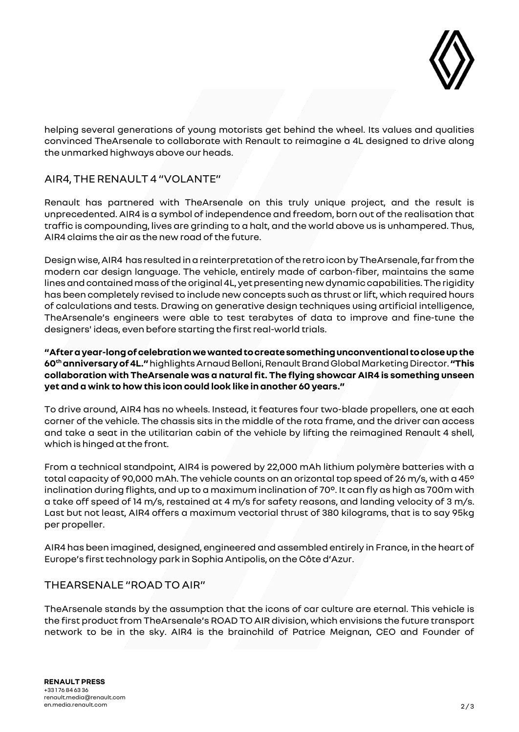

helping several generations of young motorists get behind the wheel. Its values and qualities convinced TheArsenale to collaborate with Renault to reimagine a 4L designed to drive along the unmarked highways above our heads.

# AIR4, THE RENAULT 4 "VOLANTE"

Renault has partnered with TheArsenale on this truly unique project, and the result is unprecedented. AIR4 is a symbol of independence and freedom, born out of the realisation that traffic is compounding, lives are grinding to a halt, and the world above us is unhampered. Thus, AIR4 claims the air as the new road of the future.

Design wise, AIR4 has resulted in a reinterpretation of theretro iconby TheArsenale, far from the modern car design language. The vehicle, entirely made of carbon-fiber, maintains the same lines and contained mass of the original 4L, yet presenting new dynamic capabilities. The rigidity has been completely revised to include new concepts such as thrust orlift, which required hours of calculations and tests. Drawing on generative design techniques using artificial intelligence, TheArsenale's engineers were able to test terabytes of data to improve and fine-tune the designers' ideas, even before starting the first real-world trials.

**"After a year-long of celebration we wanted to create something unconventional to close up the 60thanniversary of 4L."**highlightsArnaudBelloni, Renault Brand Global Marketing Director. **"This collaboration with TheArsenale was a natural fit. The flying showcar AIR4 is something unseen yet and a wink to how this icon could look like in another 60 years."**

To drive around, AIR4 has no wheels. Instead, it features four two-blade propellers, one at each corner of the vehicle. The chassis sits in the middle of the rota frame, and the driver can access and take a seat in the utilitarian cabin of the vehicle by lifting the reimagined Renault 4 shell, which is hinged at the front.

From a technical standpoint, AIR4 is powered by 22,000 mAh lithium polymère batteries with a total capacity of 90,000 mAh. The vehicle counts on an orizontal top speed of 26 m/s, with a 45° inclination during flights, and up to a maximum inclination of 70°. It can fly as high as 700m with a take off speed of 14 m/s, restained at 4 m/s for safety reasons, and landing velocity of 3 m/s. Last but not least, AIR4 offers a maximum vectorial thrust of 380 kilograms, that is to say 95kg per propeller.

AIR4 has been imagined, designed, engineered and assembled entirely in France, in the heart of Europe's first technology park in Sophia Antipolis, on the Côte d'Azur.

## THEARSENALE "ROAD TO AIR"

TheArsenale stands by the assumption that the icons of car culture are eternal. This vehicle is the first product from TheArsenale's ROAD TO AIR division, which envisions the future transport network to be in the sky. AIR4 is the brainchild of Patrice Meignan, CEO and Founder of